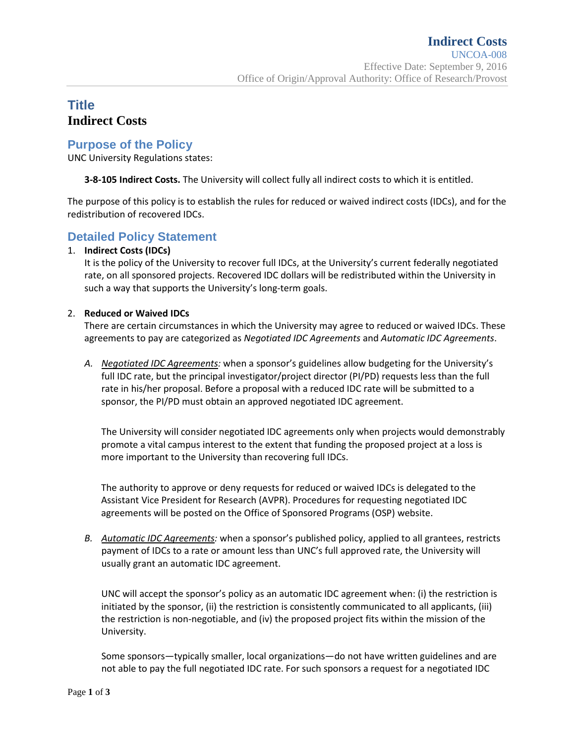# **Title Indirect Costs**

## **Purpose of the Policy**

UNC University Regulations states:

**3-8-105 Indirect Costs.** The University will collect fully all indirect costs to which it is entitled.

The purpose of this policy is to establish the rules for reduced or waived indirect costs (IDCs), and for the redistribution of recovered IDCs.

## **Detailed Policy Statement**

#### 1. **Indirect Costs (IDCs)**

It is the policy of the University to recover full IDCs, at the University's current federally negotiated rate, on all sponsored projects. Recovered IDC dollars will be redistributed within the University in such a way that supports the University's long-term goals.

#### 2. **Reduced or Waived IDCs**

There are certain circumstances in which the University may agree to reduced or waived IDCs. These agreements to pay are categorized as *Negotiated IDC Agreements* and *Automatic IDC Agreements*.

*A. Negotiated IDC Agreements:* when a sponsor's guidelines allow budgeting for the University's full IDC rate, but the principal investigator/project director (PI/PD) requests less than the full rate in his/her proposal. Before a proposal with a reduced IDC rate will be submitted to a sponsor, the PI/PD must obtain an approved negotiated IDC agreement.

The University will consider negotiated IDC agreements only when projects would demonstrably promote a vital campus interest to the extent that funding the proposed project at a loss is more important to the University than recovering full IDCs.

The authority to approve or deny requests for reduced or waived IDCs is delegated to the Assistant Vice President for Research (AVPR). Procedures for requesting negotiated IDC agreements will be posted on the Office of Sponsored Programs (OSP) website.

*B. Automatic IDC Agreements:* when a sponsor's published policy, applied to all grantees, restricts payment of IDCs to a rate or amount less than UNC's full approved rate, the University will usually grant an automatic IDC agreement.

UNC will accept the sponsor's policy as an automatic IDC agreement when: (i) the restriction is initiated by the sponsor, (ii) the restriction is consistently communicated to all applicants, (iii) the restriction is non-negotiable, and (iv) the proposed project fits within the mission of the University.

Some sponsors—typically smaller, local organizations—do not have written guidelines and are not able to pay the full negotiated IDC rate. For such sponsors a request for a negotiated IDC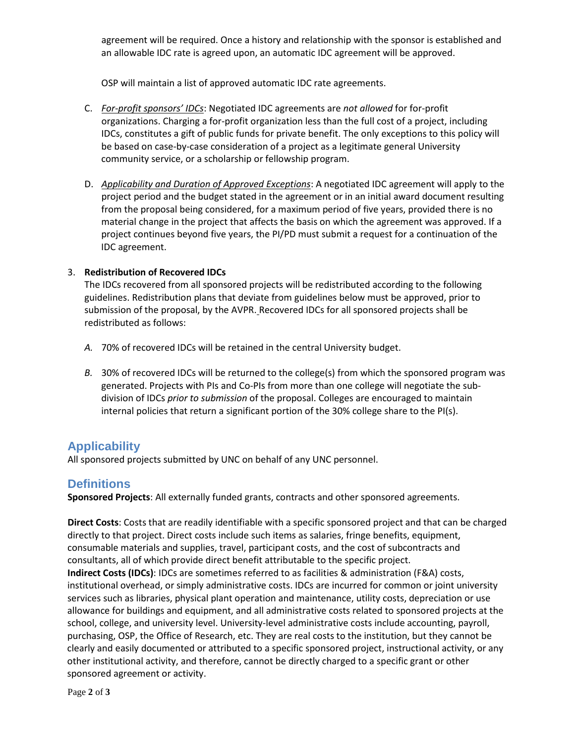agreement will be required. Once a history and relationship with the sponsor is established and an allowable IDC rate is agreed upon, an automatic IDC agreement will be approved.

OSP will maintain a list of approved automatic IDC rate agreements.

- C. *For-profit sponsors' IDCs*: Negotiated IDC agreements are *not allowed* for for-profit organizations. Charging a for-profit organization less than the full cost of a project, including IDCs, constitutes a gift of public funds for private benefit. The only exceptions to this policy will be based on case-by-case consideration of a project as a legitimate general University community service, or a scholarship or fellowship program.
- D. *Applicability and Duration of Approved Exceptions*: A negotiated IDC agreement will apply to the project period and the budget stated in the agreement or in an initial award document resulting from the proposal being considered, for a maximum period of five years, provided there is no material change in the project that affects the basis on which the agreement was approved. If a project continues beyond five years, the PI/PD must submit a request for a continuation of the IDC agreement.

#### 3. **Redistribution of Recovered IDCs**

The IDCs recovered from all sponsored projects will be redistributed according to the following guidelines. Redistribution plans that deviate from guidelines below must be approved, prior to submission of the proposal, by the AVPR. Recovered IDCs for all sponsored projects shall be redistributed as follows:

- *A.* 70% of recovered IDCs will be retained in the central University budget.
- *B.* 30% of recovered IDCs will be returned to the college(s) from which the sponsored program was generated. Projects with PIs and Co-PIs from more than one college will negotiate the subdivision of IDCs *prior to submission* of the proposal. Colleges are encouraged to maintain internal policies that return a significant portion of the 30% college share to the PI(s).

## **Applicability**

All sponsored projects submitted by UNC on behalf of any UNC personnel.

## **Definitions**

**Sponsored Projects**: All externally funded grants, contracts and other sponsored agreements.

**Direct Costs**: Costs that are readily identifiable with a specific sponsored project and that can be charged directly to that project. Direct costs include such items as salaries, fringe benefits, equipment, consumable materials and supplies, travel, participant costs, and the cost of subcontracts and consultants, all of which provide direct benefit attributable to the specific project. **Indirect Costs (IDCs)**: IDCs are sometimes referred to as facilities & administration (F&A) costs, institutional overhead, or simply administrative costs. IDCs are incurred for common or joint university services such as libraries, physical plant operation and maintenance, utility costs, depreciation or use allowance for buildings and equipment, and all administrative costs related to sponsored projects at the school, college, and university level. University-level administrative costs include accounting, payroll, purchasing, OSP, the Office of Research, etc. They are real costs to the institution, but they cannot be clearly and easily documented or attributed to a specific sponsored project, instructional activity, or any other institutional activity, and therefore, cannot be directly charged to a specific grant or other sponsored agreement or activity.